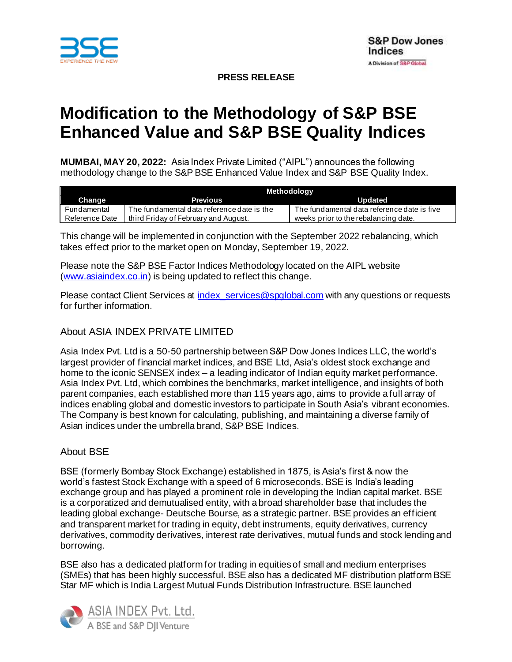

**PRESS RELEASE**

# **Modification to the Methodology of S&P BSE Enhanced Value and S&P BSE Quality Indices**

**MUMBAI, MAY 20, 2022:** Asia Index Private Limited ("AIPL") announces the following methodology change to the S&P BSE Enhanced Value Index and S&P BSE Quality Index.

|                | Methodology                                |                                             |
|----------------|--------------------------------------------|---------------------------------------------|
| Change         | <b>Previous</b>                            | Updated                                     |
| Fundamental    | The fundamental data reference date is the | The fundamental data reference date is five |
| Reference Date | third Friday of February and August.       | weeks prior to the rebalancing date.        |

This change will be implemented in conjunction with the September 2022 rebalancing, which takes effect prior to the market open on Monday, September 19, 2022.

Please note the S&P BSE Factor Indices Methodology located on the AIPL website [\(www.asiaindex.co.in\)](http://www.asiaindex.co.in/) is being updated to reflect this change.

Please contact Client Services at index services@spglobal.com with any questions or requests for further information.

## About ASIA INDEX PRIVATE LIMITED

Asia Index Pvt. Ltd is a 50-50 partnership between S&P Dow Jones Indices LLC, the world's largest provider of financial market indices, and BSE Ltd, Asia's oldest stock exchange and home to the iconic SENSEX index – a leading indicator of Indian equity market performance. Asia Index Pvt. Ltd, which combines the benchmarks, market intelligence, and insights of both parent companies, each established more than 115 years ago, aims to provide a full array of indices enabling global and domestic investors to participate in South Asia's vibrant economies. The Company is best known for calculating, publishing, and maintaining a diverse family of Asian indices under the umbrella brand, S&P BSE Indices.

### About BSE

BSE (formerly Bombay Stock Exchange) established in 1875, is Asia's first & now the world's fastest Stock Exchange with a speed of 6 microseconds. BSE is India's leading exchange group and has played a prominent role in developing the Indian capital market. BSE is a corporatized and demutualised entity, with a broad shareholder base that includes the leading global exchange- Deutsche Bourse, as a strategic partner. BSE provides an efficient and transparent market for trading in equity, debt instruments, equity derivatives, currency derivatives, commodity derivatives, interest rate derivatives, mutual funds and stock lending and borrowing.

BSE also has a dedicated platform for trading in equities of small and medium enterprises (SMEs) that has been highly successful. BSE also has a dedicated MF distribution platform BSE Star MF which is India Largest Mutual Funds Distribution Infrastructure. BSE launched